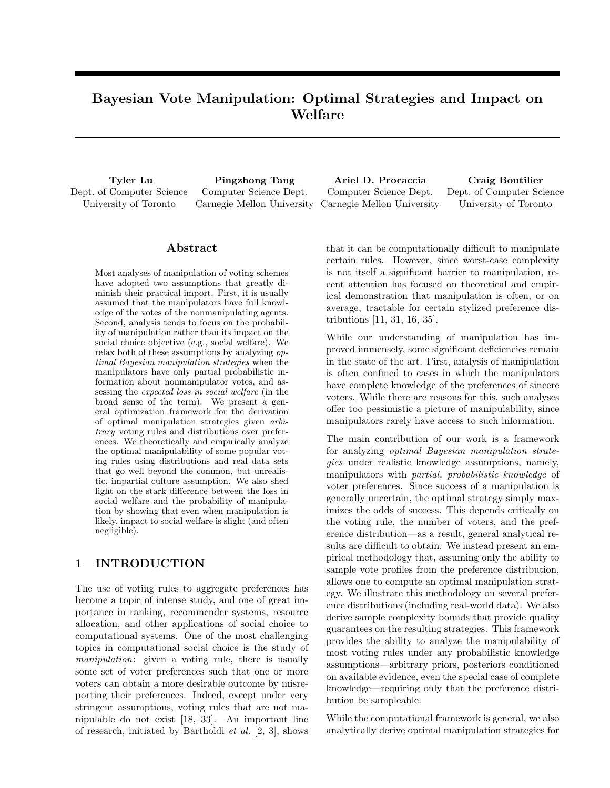## Bayesian Vote Manipulation: Optimal Strategies and Impact on Welfare

Tyler Lu Dept. of Computer Science University of Toronto

Pingzhong Tang Computer Science Dept. Carnegie Mellon University Carnegie Mellon University

Ariel D. Procaccia Computer Science Dept.

Craig Boutilier Dept. of Computer Science University of Toronto

#### Abstract

Most analyses of manipulation of voting schemes have adopted two assumptions that greatly diminish their practical import. First, it is usually assumed that the manipulators have full knowledge of the votes of the nonmanipulating agents. Second, analysis tends to focus on the probability of manipulation rather than its impact on the social choice objective (e.g., social welfare). We relax both of these assumptions by analyzing optimal Bayesian manipulation strategies when the manipulators have only partial probabilistic information about nonmanipulator votes, and assessing the expected loss in social welfare (in the broad sense of the term). We present a general optimization framework for the derivation of optimal manipulation strategies given arbitrary voting rules and distributions over preferences. We theoretically and empirically analyze the optimal manipulability of some popular voting rules using distributions and real data sets that go well beyond the common, but unrealistic, impartial culture assumption. We also shed light on the stark difference between the loss in social welfare and the probability of manipulation by showing that even when manipulation is likely, impact to social welfare is slight (and often negligible).

## 1 INTRODUCTION

The use of voting rules to aggregate preferences has become a topic of intense study, and one of great importance in ranking, recommender systems, resource allocation, and other applications of social choice to computational systems. One of the most challenging topics in computational social choice is the study of manipulation: given a voting rule, there is usually some set of voter preferences such that one or more voters can obtain a more desirable outcome by misreporting their preferences. Indeed, except under very stringent assumptions, voting rules that are not manipulable do not exist [18, 33]. An important line of research, initiated by Bartholdi et al. [2, 3], shows

that it can be computationally difficult to manipulate certain rules. However, since worst-case complexity is not itself a significant barrier to manipulation, recent attention has focused on theoretical and empirical demonstration that manipulation is often, or on average, tractable for certain stylized preference distributions [11, 31, 16, 35].

While our understanding of manipulation has improved immensely, some significant deficiencies remain in the state of the art. First, analysis of manipulation is often confined to cases in which the manipulators have complete knowledge of the preferences of sincere voters. While there are reasons for this, such analyses offer too pessimistic a picture of manipulability, since manipulators rarely have access to such information.

The main contribution of our work is a framework for analyzing optimal Bayesian manipulation strategies under realistic knowledge assumptions, namely, manipulators with partial, probabilistic knowledge of voter preferences. Since success of a manipulation is generally uncertain, the optimal strategy simply maximizes the odds of success. This depends critically on the voting rule, the number of voters, and the preference distribution—as a result, general analytical results are difficult to obtain. We instead present an empirical methodology that, assuming only the ability to sample vote profiles from the preference distribution, allows one to compute an optimal manipulation strategy. We illustrate this methodology on several preference distributions (including real-world data). We also derive sample complexity bounds that provide quality guarantees on the resulting strategies. This framework provides the ability to analyze the manipulability of most voting rules under any probabilistic knowledge assumptions—arbitrary priors, posteriors conditioned on available evidence, even the special case of complete knowledge—requiring only that the preference distribution be sampleable.

While the computational framework is general, we also analytically derive optimal manipulation strategies for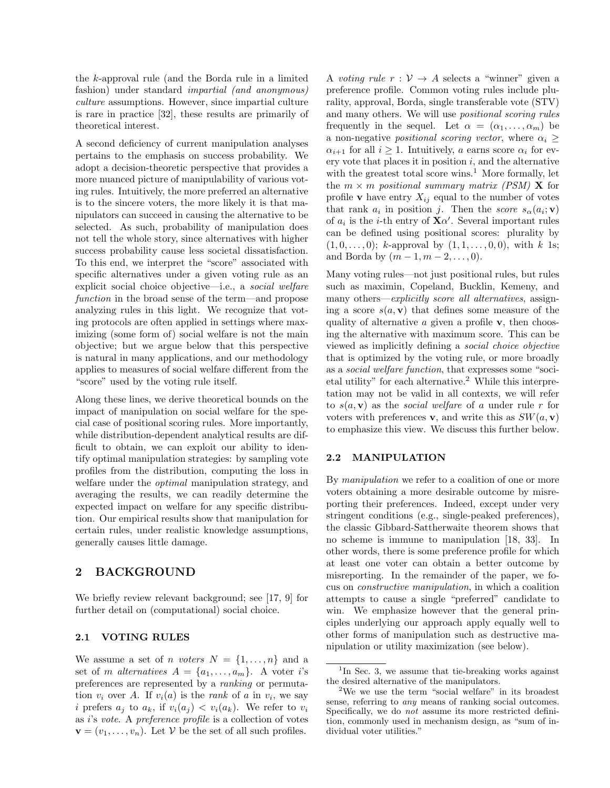the k-approval rule (and the Borda rule in a limited fashion) under standard impartial (and anonymous) culture assumptions. However, since impartial culture is rare in practice [32], these results are primarily of theoretical interest.

A second deficiency of current manipulation analyses pertains to the emphasis on success probability. We adopt a decision-theoretic perspective that provides a more nuanced picture of manipulability of various voting rules. Intuitively, the more preferred an alternative is to the sincere voters, the more likely it is that manipulators can succeed in causing the alternative to be selected. As such, probability of manipulation does not tell the whole story, since alternatives with higher success probability cause less societal dissatisfaction. To this end, we interpret the "score" associated with specific alternatives under a given voting rule as an explicit social choice objective—i.e., a social welfare function in the broad sense of the term—and propose analyzing rules in this light. We recognize that voting protocols are often applied in settings where maximizing (some form of) social welfare is not the main objective; but we argue below that this perspective is natural in many applications, and our methodology applies to measures of social welfare different from the "score" used by the voting rule itself.

Along these lines, we derive theoretical bounds on the impact of manipulation on social welfare for the special case of positional scoring rules. More importantly, while distribution-dependent analytical results are difficult to obtain, we can exploit our ability to identify optimal manipulation strategies: by sampling vote profiles from the distribution, computing the loss in welfare under the optimal manipulation strategy, and averaging the results, we can readily determine the expected impact on welfare for any specific distribution. Our empirical results show that manipulation for certain rules, under realistic knowledge assumptions, generally causes little damage.

#### 2 BACKGROUND

We briefly review relevant background; see [17, 9] for further detail on (computational) social choice.

#### 2.1 VOTING RULES

We assume a set of *n voters*  $N = \{1, \ldots, n\}$  and a set of m alternatives  $A = \{a_1, \ldots, a_m\}$ . A voter i's preferences are represented by a ranking or permutation  $v_i$  over A. If  $v_i(a)$  is the *rank* of a in  $v_i$ , we say i prefers  $a_i$  to  $a_k$ , if  $v_i(a_i) < v_i(a_k)$ . We refer to  $v_i$ as i's vote. A preference profile is a collection of votes  $\mathbf{v} = (v_1, \ldots, v_n)$ . Let V be the set of all such profiles.

A voting rule  $r : \mathcal{V} \to A$  selects a "winner" given a preference profile. Common voting rules include plurality, approval, Borda, single transferable vote (STV) and many others. We will use positional scoring rules frequently in the sequel. Let  $\alpha = (\alpha_1, \ldots, \alpha_m)$  be a non-negative *positional scoring vector*, where  $\alpha_i \geq$  $\alpha_{i+1}$  for all  $i \geq 1$ . Intuitively, a earns score  $\alpha_i$  for every vote that places it in position  $i$ , and the alternative with the greatest total score wins.<sup>1</sup> More formally, let the  $m \times m$  positional summary matrix (PSM) **X** for profile **v** have entry  $X_{ij}$  equal to the number of votes that rank  $a_i$  in position j. Then the score  $s_\alpha(a_i; \mathbf{v})$ of  $a_i$  is the *i*-th entry of  $\mathbf{X}\alpha'$ . Several important rules can be defined using positional scores: plurality by  $(1, 0, \ldots, 0);$  k-approval by  $(1, 1, \ldots, 0, 0)$ , with k 1s; and Borda by  $(m-1, m-2, \ldots, 0)$ .

Many voting rules—not just positional rules, but rules such as maximin, Copeland, Bucklin, Kemeny, and many others—*explicitly score all alternatives*, assigning a score  $s(a, \mathbf{v})$  that defines some measure of the quality of alternative  $\alpha$  given a profile  $\mathbf{v}$ , then choosing the alternative with maximum score. This can be viewed as implicitly defining a social choice objective that is optimized by the voting rule, or more broadly as a social welfare function, that expresses some "societal utility" for each alternative.<sup>2</sup> While this interpretation may not be valid in all contexts, we will refer to  $s(a, v)$  as the *social welfare* of a under rule r for voters with preferences **v**, and write this as  $SW(a, \mathbf{v})$ to emphasize this view. We discuss this further below.

#### 2.2 MANIPULATION

By *manipulation* we refer to a coalition of one or more voters obtaining a more desirable outcome by misreporting their preferences. Indeed, except under very stringent conditions (e.g., single-peaked preferences), the classic Gibbard-Sattherwaite theorem shows that no scheme is immune to manipulation [18, 33]. In other words, there is some preference profile for which at least one voter can obtain a better outcome by misreporting. In the remainder of the paper, we focus on constructive manipulation, in which a coalition attempts to cause a single "preferred" candidate to win. We emphasize however that the general principles underlying our approach apply equally well to other forms of manipulation such as destructive manipulation or utility maximization (see below).

<sup>&</sup>lt;sup>1</sup>In Sec. 3, we assume that tie-breaking works against the desired alternative of the manipulators.

<sup>&</sup>lt;sup>2</sup>We we use the term "social welfare" in its broadest sense, referring to any means of ranking social outcomes. Specifically, we do not assume its more restricted definition, commonly used in mechanism design, as "sum of individual voter utilities."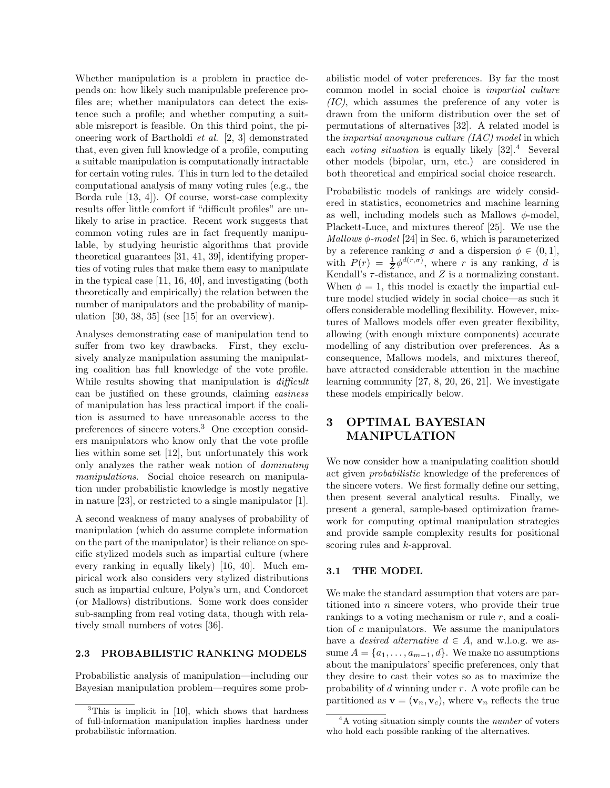Whether manipulation is a problem in practice depends on: how likely such manipulable preference profiles are; whether manipulators can detect the existence such a profile; and whether computing a suitable misreport is feasible. On this third point, the pioneering work of Bartholdi et al. [2, 3] demonstrated that, even given full knowledge of a profile, computing a suitable manipulation is computationally intractable for certain voting rules. This in turn led to the detailed computational analysis of many voting rules (e.g., the Borda rule [13, 4]). Of course, worst-case complexity results offer little comfort if "difficult profiles" are unlikely to arise in practice. Recent work suggests that common voting rules are in fact frequently manipulable, by studying heuristic algorithms that provide theoretical guarantees [31, 41, 39], identifying properties of voting rules that make them easy to manipulate in the typical case [11, 16, 40], and investigating (both theoretically and empirically) the relation between the number of manipulators and the probability of manipulation  $[30, 38, 35]$  (see  $[15]$  for an overview).

Analyses demonstrating ease of manipulation tend to suffer from two key drawbacks. First, they exclusively analyze manipulation assuming the manipulating coalition has full knowledge of the vote profile. While results showing that manipulation is *difficult* can be justified on these grounds, claiming easiness of manipulation has less practical import if the coalition is assumed to have unreasonable access to the preferences of sincere voters.<sup>3</sup> One exception considers manipulators who know only that the vote profile lies within some set [12], but unfortunately this work only analyzes the rather weak notion of dominating manipulations. Social choice research on manipulation under probabilistic knowledge is mostly negative in nature [23], or restricted to a single manipulator [1].

A second weakness of many analyses of probability of manipulation (which do assume complete information on the part of the manipulator) is their reliance on specific stylized models such as impartial culture (where every ranking in equally likely) [16, 40]. Much empirical work also considers very stylized distributions such as impartial culture, Polya's urn, and Condorcet (or Mallows) distributions. Some work does consider sub-sampling from real voting data, though with relatively small numbers of votes [36].

#### 2.3 PROBABILISTIC RANKING MODELS

Probabilistic analysis of manipulation—including our Bayesian manipulation problem—requires some probabilistic model of voter preferences. By far the most common model in social choice is impartial culture  $(IC)$ , which assumes the preference of any voter is drawn from the uniform distribution over the set of permutations of alternatives [32]. A related model is the impartial anonymous culture (IAC) model in which each voting situation is equally likely  $[32]$ .<sup>4</sup> Several other models (bipolar, urn, etc.) are considered in both theoretical and empirical social choice research.

Probabilistic models of rankings are widely considered in statistics, econometrics and machine learning as well, including models such as Mallows  $\phi$ -model, Plackett-Luce, and mixtures thereof [25]. We use the Mallows  $\phi$ -model [24] in Sec. 6, which is parameterized by a reference ranking  $\sigma$  and a dispersion  $\phi \in (0,1],$ with  $P(r) = \frac{1}{Z} \phi^{d(r,\sigma)}$ , where r is any ranking, d is Kendall's  $\tau$ -distance, and Z is a normalizing constant. When  $\phi = 1$ , this model is exactly the impartial culture model studied widely in social choice—as such it offers considerable modelling flexibility. However, mixtures of Mallows models offer even greater flexibility, allowing (with enough mixture components) accurate modelling of any distribution over preferences. As a consequence, Mallows models, and mixtures thereof, have attracted considerable attention in the machine learning community [27, 8, 20, 26, 21]. We investigate these models empirically below.

## 3 OPTIMAL BAYESIAN MANIPULATION

We now consider how a manipulating coalition should act given probabilistic knowledge of the preferences of the sincere voters. We first formally define our setting, then present several analytical results. Finally, we present a general, sample-based optimization framework for computing optimal manipulation strategies and provide sample complexity results for positional scoring rules and k-approval.

#### 3.1 THE MODEL

We make the standard assumption that voters are partitioned into  $n$  sincere voters, who provide their true rankings to a voting mechanism or rule  $r$ , and a coalition of  $c$  manipulators. We assume the manipulators have a *desired alternative*  $d \in A$ , and w.l.o.g. we assume  $A = \{a_1, \ldots, a_{m-1}, d\}$ . We make no assumptions about the manipulators' specific preferences, only that they desire to cast their votes so as to maximize the probability of  $d$  winning under  $r$ . A vote profile can be partitioned as  $\mathbf{v} = (\mathbf{v}_n, \mathbf{v}_c)$ , where  $\mathbf{v}_n$  reflects the true

 ${}^{3}$ This is implicit in [10], which shows that hardness of full-information manipulation implies hardness under probabilistic information.

 $4A$  voting situation simply counts the *number* of voters who hold each possible ranking of the alternatives.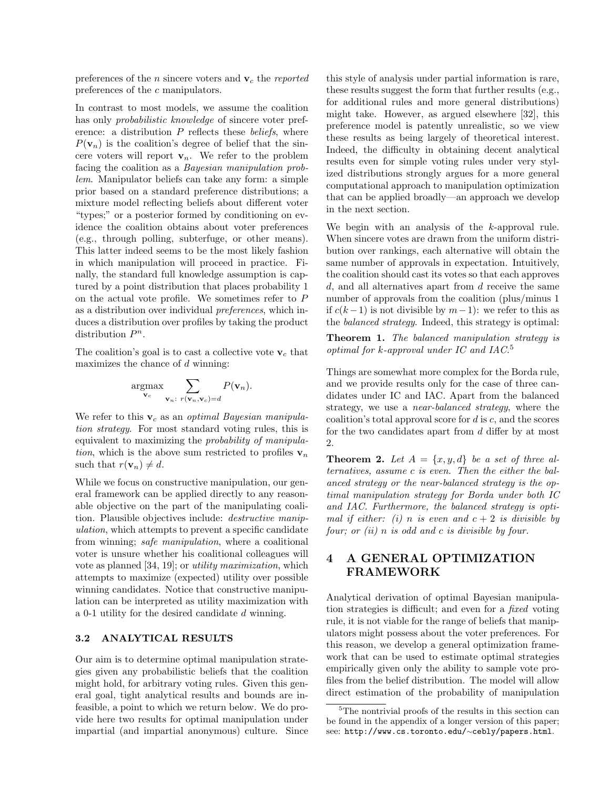preferences of the *n* sincere voters and  $v_c$  the *reported* preferences of the c manipulators.

In contrast to most models, we assume the coalition has only probabilistic knowledge of sincere voter preference: a distribution  $P$  reflects these *beliefs*, where  $P(\mathbf{v}_n)$  is the coalition's degree of belief that the sincere voters will report  $v_n$ . We refer to the problem facing the coalition as a Bayesian manipulation problem. Manipulator beliefs can take any form: a simple prior based on a standard preference distributions; a mixture model reflecting beliefs about different voter "types;" or a posterior formed by conditioning on evidence the coalition obtains about voter preferences (e.g., through polling, subterfuge, or other means). This latter indeed seems to be the most likely fashion in which manipulation will proceed in practice. Finally, the standard full knowledge assumption is captured by a point distribution that places probability 1 on the actual vote profile. We sometimes refer to P as a distribution over individual preferences, which induces a distribution over profiles by taking the product distribution  $P^n$ .

The coalition's goal is to cast a collective vote  $v_c$  that maximizes the chance of  $d$  winning:

$$
\underset{\mathbf{v}_c}{\operatorname{argmax}} \sum_{\mathbf{v}_n: \ r(\mathbf{v}_n, \mathbf{v}_c) = d} P(\mathbf{v}_n).
$$

We refer to this  $v_c$  as an *optimal Bayesian manipula*tion strategy. For most standard voting rules, this is equivalent to maximizing the probability of manipulation, which is the above sum restricted to profiles  $v_n$ such that  $r(\mathbf{v}_n) \neq d$ .

While we focus on constructive manipulation, our general framework can be applied directly to any reasonable objective on the part of the manipulating coalition. Plausible objectives include: destructive manipulation, which attempts to prevent a specific candidate from winning; safe manipulation, where a coalitional voter is unsure whether his coalitional colleagues will vote as planned [34, 19]; or utility maximization, which attempts to maximize (expected) utility over possible winning candidates. Notice that constructive manipulation can be interpreted as utility maximization with a 0-1 utility for the desired candidate  $d$  winning.

#### 3.2 ANALYTICAL RESULTS

Our aim is to determine optimal manipulation strategies given any probabilistic beliefs that the coalition might hold, for arbitrary voting rules. Given this general goal, tight analytical results and bounds are infeasible, a point to which we return below. We do provide here two results for optimal manipulation under impartial (and impartial anonymous) culture. Since

this style of analysis under partial information is rare, these results suggest the form that further results (e.g., for additional rules and more general distributions) might take. However, as argued elsewhere [32], this preference model is patently unrealistic, so we view these results as being largely of theoretical interest. Indeed, the difficulty in obtaining decent analytical results even for simple voting rules under very stylized distributions strongly argues for a more general computational approach to manipulation optimization that can be applied broadly—an approach we develop in the next section.

We begin with an analysis of the k-approval rule. When sincere votes are drawn from the uniform distribution over rankings, each alternative will obtain the same number of approvals in expectation. Intuitively, the coalition should cast its votes so that each approves  $d$ , and all alternatives apart from  $d$  receive the same number of approvals from the coalition (plus/minus 1 if  $c(k-1)$  is not divisible by  $m-1$ ): we refer to this as the balanced strategy. Indeed, this strategy is optimal:

Theorem 1. The balanced manipulation strategy is optimal for k-approval under IC and  $IAC<sup>5</sup>$ 

Things are somewhat more complex for the Borda rule, and we provide results only for the case of three candidates under IC and IAC. Apart from the balanced strategy, we use a near-balanced strategy, where the coalition's total approval score for  $d$  is  $c$ , and the scores for the two candidates apart from d differ by at most 2.

**Theorem 2.** Let  $A = \{x, y, d\}$  be a set of three alternatives, assume c is even. Then the either the balanced strategy or the near-balanced strategy is the optimal manipulation strategy for Borda under both IC and IAC. Furthermore, the balanced strategy is optimal if either: (i) n is even and  $c + 2$  is divisible by four; or  $(ii)$  n is odd and c is divisible by four.

## 4 A GENERAL OPTIMIZATION FRAMEWORK

Analytical derivation of optimal Bayesian manipulation strategies is difficult; and even for a fixed voting rule, it is not viable for the range of beliefs that manipulators might possess about the voter preferences. For this reason, we develop a general optimization framework that can be used to estimate optimal strategies empirically given only the ability to sample vote profiles from the belief distribution. The model will allow direct estimation of the probability of manipulation

<sup>&</sup>lt;sup>5</sup>The nontrivial proofs of the results in this section can be found in the appendix of a longer version of this paper; see: http://www.cs.toronto.edu/∼cebly/papers.html.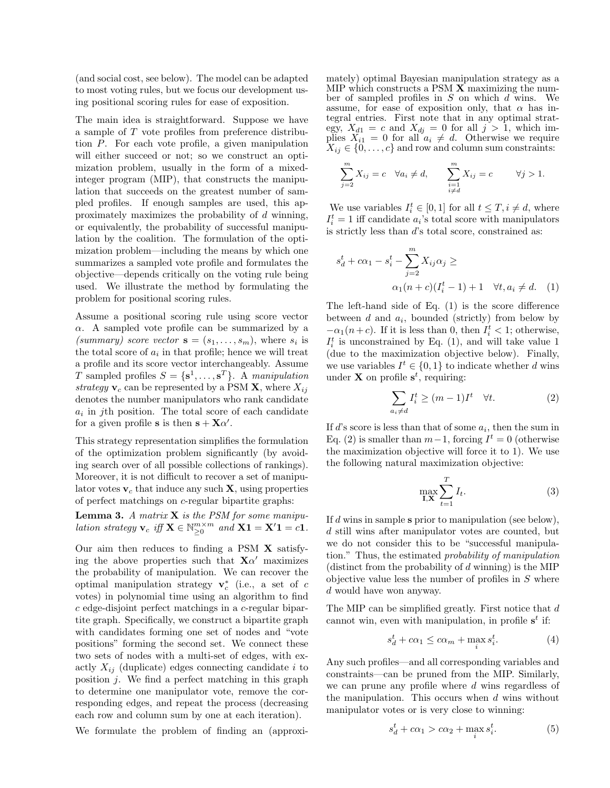(and social cost, see below). The model can be adapted to most voting rules, but we focus our development using positional scoring rules for ease of exposition.

The main idea is straightforward. Suppose we have a sample of T vote profiles from preference distribution P. For each vote profile, a given manipulation will either succeed or not; so we construct an optimization problem, usually in the form of a mixedinteger program (MIP), that constructs the manipulation that succeeds on the greatest number of sampled profiles. If enough samples are used, this approximately maximizes the probability of d winning, or equivalently, the probability of successful manipulation by the coalition. The formulation of the optimization problem—including the means by which one summarizes a sampled vote profile and formulates the objective—depends critically on the voting rule being used. We illustrate the method by formulating the problem for positional scoring rules.

Assume a positional scoring rule using score vector  $\alpha$ . A sampled vote profile can be summarized by a (summary) score vector  $\mathbf{s} = (s_1, \ldots, s_m)$ , where  $s_i$  is the total score of  $a_i$  in that profile; hence we will treat a profile and its score vector interchangeably. Assume T sampled profiles  $S = \{s^1, \ldots, s^T\}$ . A manipulation strategy  $v_c$  can be represented by a PSM **X**, where  $X_{ij}$ denotes the number manipulators who rank candidate  $a_i$  in jth position. The total score of each candidate for a given profile **s** is then  $\mathbf{s} + \mathbf{X}\alpha'$ .

This strategy representation simplifies the formulation of the optimization problem significantly (by avoiding search over of all possible collections of rankings). Moreover, it is not difficult to recover a set of manipulator votes  $v_c$  that induce any such **X**, using properties of perfect matchings on c-regular bipartite graphs:

**Lemma 3.** A matrix  $X$  is the PSM for some manipu*lation strategy*  $\mathbf{v}_c$  *iff*  $\mathbf{X} \in \mathbb{N}_{\geq 0}^{m \times m}$  *and*  $\mathbf{X} \mathbf{1} = \mathbf{X}' \mathbf{1} = c \mathbf{1}$ .

Our aim then reduces to finding a PSM  $\bf{X}$  satisfying the above properties such that  $X\alpha'$  maximizes the probability of manipulation. We can recover the optimal manipulation strategy  $v_c^*$  (i.e., a set of c votes) in polynomial time using an algorithm to find c edge-disjoint perfect matchings in a c-regular bipartite graph. Specifically, we construct a bipartite graph with candidates forming one set of nodes and "vote positions" forming the second set. We connect these two sets of nodes with a multi-set of edges, with exactly  $X_{ij}$  (duplicate) edges connecting candidate i to position  $i$ . We find a perfect matching in this graph to determine one manipulator vote, remove the corresponding edges, and repeat the process (decreasing each row and column sum by one at each iteration).

We formulate the problem of finding an (approxi-

mately) optimal Bayesian manipulation strategy as a MIP which constructs a PSM  $\overline{X}$  maximizing the number of sampled profiles in  $S$  on which  $d$  wins. We assume, for ease of exposition only, that  $\alpha$  has integral entries. First note that in any optimal strategy,  $X_{d1} = c$  and  $X_{dj} = 0$  for all  $j > 1$ , which implies  $X_{i1} = 0$  for all  $a_i \neq d$ . Otherwise we require  $X_{ij} \in \{0, \ldots, c\}$  and row and column sum constraints:

$$
\sum_{j=2}^{m} X_{ij} = c \quad \forall a_i \neq d, \qquad \sum_{\substack{i=1 \\ i \neq d}}^{m} X_{ij} = c \qquad \forall j > 1.
$$

We use variables  $I_i^t \in [0, 1]$  for all  $t \leq T, i \neq d$ , where  $I_i^t = 1$  iff candidate  $a_i$ 's total score with manipulators is strictly less than d's total score, constrained as:

$$
s_d^t + c\alpha_1 - s_i^t - \sum_{j=2}^m X_{ij}\alpha_j \ge
$$
  
 
$$
\alpha_1(n+c)(I_i^t - 1) + 1 \quad \forall t, a_i \neq d. \quad (1)
$$

The left-hand side of Eq. (1) is the score difference between  $d$  and  $a_i$ , bounded (strictly) from below by  $-\alpha_1(n+c)$ . If it is less than 0, then  $I_i^t < 1$ ; otherwise,  $I_i^t$  is unconstrained by Eq. (1), and will take value 1 (due to the maximization objective below). Finally, we use variables  $I^t \in \{0, 1\}$  to indicate whether d wins under **X** on profile  $s^t$ , requiring:

$$
\sum_{a_i \neq d} I_i^t \geq (m-1)I^t \quad \forall t.
$$
 (2)

If  $d$ 's score is less than that of some  $a_i$ , then the sum in Eq. (2) is smaller than  $m-1$ , forcing  $I^t = 0$  (otherwise the maximization objective will force it to 1). We use the following natural maximization objective:

$$
\max_{\mathbf{I}, \mathbf{X}} \sum_{t=1}^{T} I_t.
$$
 (3)

If d wins in sample s prior to manipulation (see below), d still wins after manipulator votes are counted, but we do not consider this to be "successful manipulation." Thus, the estimated probability of manipulation (distinct from the probability of  $d$  winning) is the MIP objective value less the number of profiles in  $S$  where d would have won anyway.

The MIP can be simplified greatly. First notice that d cannot win, even with manipulation, in profile  $s^t$  if:

$$
s_d^t + c\alpha_1 \le c\alpha_m + \max_i s_i^t. \tag{4}
$$

Any such profiles—and all corresponding variables and constraints—can be pruned from the MIP. Similarly, we can prune any profile where d wins regardless of the manipulation. This occurs when  $d$  wins without manipulator votes or is very close to winning:

$$
s_d^t + c\alpha_1 > c\alpha_2 + \max_i s_i^t. \tag{5}
$$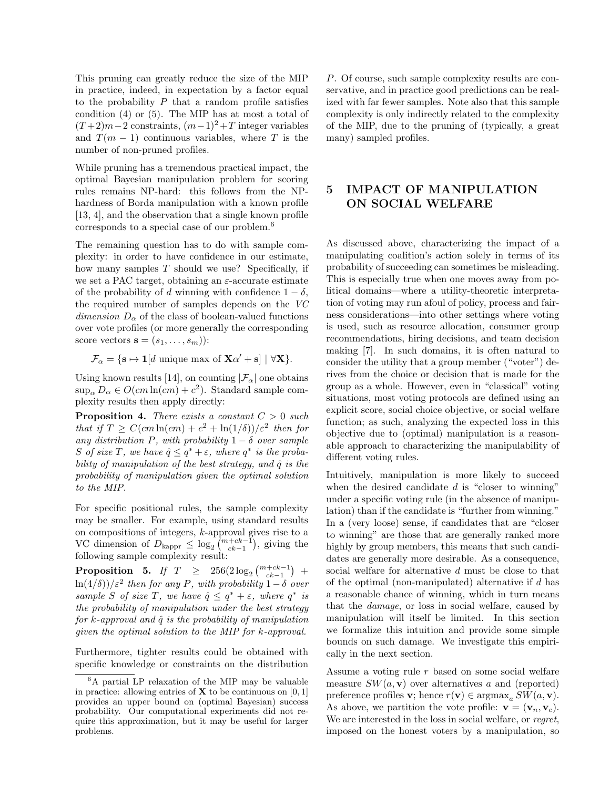This pruning can greatly reduce the size of the MIP in practice, indeed, in expectation by a factor equal to the probability  $P$  that a random profile satisfies condition (4) or (5). The MIP has at most a total of  $(T+2)m-2$  constraints,  $(m-1)^2+T$  integer variables and  $T(m-1)$  continuous variables, where T is the number of non-pruned profiles.

While pruning has a tremendous practical impact, the optimal Bayesian manipulation problem for scoring rules remains NP-hard: this follows from the NPhardness of Borda manipulation with a known profile [13, 4], and the observation that a single known profile corresponds to a special case of our problem.<sup>6</sup>

The remaining question has to do with sample complexity: in order to have confidence in our estimate, how many samples  $T$  should we use? Specifically, if we set a PAC target, obtaining an  $\varepsilon$ -accurate estimate of the probability of d winning with confidence  $1 - \delta$ , the required number of samples depends on the VC dimension  $D_{\alpha}$  of the class of boolean-valued functions over vote profiles (or more generally the corresponding score vectors  $\mathbf{s} = (s_1, \ldots, s_m)$ :

 $\mathcal{F}_{\alpha} = \{ \mathbf{s} \mapsto \mathbf{1}[d \text{ unique max of } \mathbf{X}\alpha' + \mathbf{s}] \mid \forall \mathbf{X} \}.$ 

Using known results [14], on counting  $|\mathcal{F}_{\alpha}|$  one obtains  $\sup_{\alpha} D_{\alpha} \in O(cm \ln(cm) + c^2)$ . Standard sample complexity results then apply directly:

**Proposition 4.** There exists a constant  $C > 0$  such that if  $T \geq C(cm \ln(cm) + c^2 + \ln(1/\delta))/\epsilon^2$  then for any distribution P, with probability  $1 - \delta$  over sample S of size T, we have  $\hat{q} \leq q^* + \varepsilon$ , where  $q^*$  is the probability of manipulation of the best strategy, and  $\hat{q}$  is the probability of manipulation given the optimal solution to the MIP.

For specific positional rules, the sample complexity may be smaller. For example, using standard results on compositions of integers, k-approval gives rise to a VC dimension of  $D_{\text{kapper}} \leq \log_2{\binom{m+ck-1}{ck-1}}$ , giving the following sample complexity result:

 $\textbf{Proposition 5.} \;\; \textit{If} \;\; T \;\; \geq \;\; 256 (2 \log_2 \binom{m + ck - 1}{ck - 1} \;\; +$  $\ln(4/\delta)/\varepsilon^2$  then for any P, with probability  $1-\delta$  over sample S of size T, we have  $\hat{q} \leq q^* + \varepsilon$ , where  $q^*$  is the probability of manipulation under the best strategy for k-approval and  $\hat{q}$  is the probability of manipulation given the optimal solution to the MIP for k-approval.

Furthermore, tighter results could be obtained with specific knowledge or constraints on the distribution

P. Of course, such sample complexity results are conservative, and in practice good predictions can be realized with far fewer samples. Note also that this sample complexity is only indirectly related to the complexity of the MIP, due to the pruning of (typically, a great many) sampled profiles.

## 5 IMPACT OF MANIPULATION ON SOCIAL WELFARE

As discussed above, characterizing the impact of a manipulating coalition's action solely in terms of its probability of succeeding can sometimes be misleading. This is especially true when one moves away from political domains—where a utility-theoretic interpretation of voting may run afoul of policy, process and fairness considerations—into other settings where voting is used, such as resource allocation, consumer group recommendations, hiring decisions, and team decision making [7]. In such domains, it is often natural to consider the utility that a group member ("voter") derives from the choice or decision that is made for the group as a whole. However, even in "classical" voting situations, most voting protocols are defined using an explicit score, social choice objective, or social welfare function; as such, analyzing the expected loss in this objective due to (optimal) manipulation is a reasonable approach to characterizing the manipulability of different voting rules.

Intuitively, manipulation is more likely to succeed when the desired candidate  $d$  is "closer to winning" under a specific voting rule (in the absence of manipulation) than if the candidate is "further from winning." In a (very loose) sense, if candidates that are "closer to winning" are those that are generally ranked more highly by group members, this means that such candidates are generally more desirable. As a consequence, social welfare for alternative d must be close to that of the optimal (non-manipulated) alternative if d has a reasonable chance of winning, which in turn means that the damage, or loss in social welfare, caused by manipulation will itself be limited. In this section we formalize this intuition and provide some simple bounds on such damage. We investigate this empirically in the next section.

Assume a voting rule r based on some social welfare measure  $SW(a, \mathbf{v})$  over alternatives a and (reported) preference profiles **v**; hence  $r(\mathbf{v}) \in \argmax_a SW(a, \mathbf{v}).$ As above, we partition the vote profile:  $\mathbf{v} = (\mathbf{v}_n, \mathbf{v}_c)$ . We are interested in the loss in social welfare, or *regret*, imposed on the honest voters by a manipulation, so

<sup>6</sup>A partial LP relaxation of the MIP may be valuable in practice: allowing entries of  $X$  to be continuous on [0, 1] provides an upper bound on (optimal Bayesian) success probability. Our computational experiments did not require this approximation, but it may be useful for larger problems.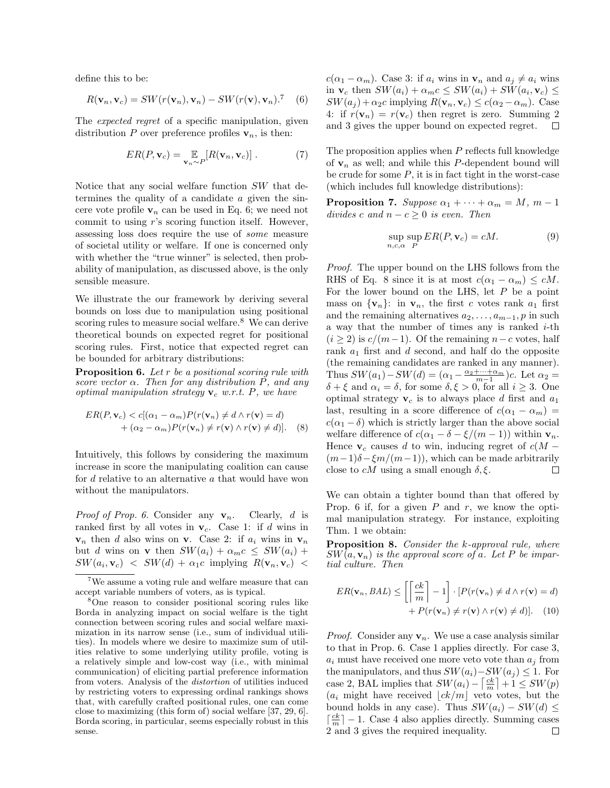define this to be:

$$
R(\mathbf{v}_n, \mathbf{v}_c) = SW(r(\mathbf{v}_n), \mathbf{v}_n) - SW(r(\mathbf{v}), \mathbf{v}_n).^\mathsf{T} \quad (6)
$$

The *expected regret* of a specific manipulation, given distribution P over preference profiles  $v_n$ , is then:

$$
ER(P, \mathbf{v}_c) = \mathop{\mathbb{E}}_{\mathbf{v}_n \sim P} [R(\mathbf{v}_n, \mathbf{v}_c)] . \tag{7}
$$

Notice that any social welfare function SW that determines the quality of a candidate a given the sincere vote profile  $v_n$  can be used in Eq. 6; we need not commit to using r's scoring function itself. However, assessing loss does require the use of some measure of societal utility or welfare. If one is concerned only with whether the "true winner" is selected, then probability of manipulation, as discussed above, is the only sensible measure.

We illustrate the our framework by deriving several bounds on loss due to manipulation using positional scoring rules to measure social welfare.<sup>8</sup> We can derive theoretical bounds on expected regret for positional scoring rules. First, notice that expected regret can be bounded for arbitrary distributions:

**Proposition 6.** Let  $r$  be a positional scoring rule with score vector  $\alpha$ . Then for any distribution  $\tilde{P}$ , and any optimal manipulation strategy  $v_c$  w.r.t. P, we have

$$
ER(P, \mathbf{v}_c) < c[(\alpha_1 - \alpha_m)P(r(\mathbf{v}_n) \neq d \land r(\mathbf{v}) = d) + (\alpha_2 - \alpha_m)P(r(\mathbf{v}_n) \neq r(\mathbf{v}) \land r(\mathbf{v}) \neq d)].
$$
 (8)

Intuitively, this follows by considering the maximum increase in score the manipulating coalition can cause for d relative to an alternative a that would have won without the manipulators.

*Proof of Prop. 6.* Consider any  $v_n$ . Clearly, d is ranked first by all votes in  $v_c$ . Case 1: if d wins in  $v_n$  then d also wins on v. Case 2: if  $a_i$  wins in  $v_n$ but d wins on **v** then  $SW(a_i) + \alpha_m c \leq SW(a_i) +$  $SW(a_i, \mathbf{v}_c)$  <  $SW(d) + \alpha_1 c$  implying  $R(\mathbf{v}_n, \mathbf{v}_c)$  <

 $c(\alpha_1 - \alpha_m)$ . Case 3: if  $a_i$  wins in  $\mathbf{v}_n$  and  $a_j \neq a_i$  wins in  $\mathbf{v}_c$  then  $SW(a_i) + \alpha_m c \leq SW(a_i) + SW(a_i, \mathbf{v}_c) \leq$  $SW(a_j) + \alpha_2c$  implying  $R(\mathbf{v}_n, \mathbf{v}_c) \leq c(\alpha_2 - \alpha_m)$ . Case 4: if  $r(\mathbf{v}_n) = r(\mathbf{v}_c)$  then regret is zero. Summing 2 and 3 gives the upper bound on expected regret.  $\Box$ 

The proposition applies when P reflects full knowledge of  $v_n$  as well; and while this P-dependent bound will be crude for some  $P$ , it is in fact tight in the worst-case (which includes full knowledge distributions):

**Proposition 7.** Suppose  $\alpha_1 + \cdots + \alpha_m = M$ ,  $m-1$ divides c and  $n - c \geq 0$  is even. Then

$$
\sup_{n,c,\alpha} \sup_{P} ER(P, \mathbf{v}_c) = cM.
$$
 (9)

Proof. The upper bound on the LHS follows from the RHS of Eq. 8 since it is at most  $c(\alpha_1 - \alpha_m) \leq cM$ . For the lower bound on the LHS, let  $P$  be a point mass on  $\{v_n\}$ : in  $v_n$ , the first c votes rank  $a_1$  first and the remaining alternatives  $a_2, \ldots, a_{m-1}, p$  in such a way that the number of times any is ranked  $i$ -th  $(i \geq 2)$  is  $c/(m-1)$ . Of the remaining  $n-c$  votes, half rank  $a_1$  first and d second, and half do the opposite (the remaining candidates are ranked in any manner). Thus  $SW(a_1) - SW(d) = (\alpha_1 - \frac{\alpha_2 + \dots + \alpha_m}{m-1})c$ . Let  $\alpha_2 =$  $\delta + \xi$  and  $\alpha_i = \delta$ , for some  $\delta, \xi > 0$ , for all  $i \geq 3$ . One optimal strategy  $v_c$  is to always place d first and  $a_1$ last, resulting in a score difference of  $c(\alpha_1 - \alpha_m)$  =  $c(\alpha_1 - \delta)$  which is strictly larger than the above social welfare difference of  $c(\alpha_1 - \delta - \xi/(m-1))$  within  $\mathbf{v}_n$ . Hence  $v_c$  causes d to win, inducing regret of  $c(M (m-1)\delta - \xi m/(m-1)$ , which can be made arbitrarily close to  $cM$  using a small enough  $\delta, \xi$ .  $\Box$ 

We can obtain a tighter bound than that offered by Prop. 6 if, for a given  $P$  and  $r$ , we know the optimal manipulation strategy. For instance, exploiting Thm. 1 we obtain:

Proposition 8. Consider the k-approval rule, where  $SW(a, \mathbf{v}_n)$  is the approval score of a. Let P be impartial culture. Then

$$
ER(\mathbf{v}_n, BAL) \le \left[ \left\lceil \frac{ck}{m} \right\rceil - 1 \right] \cdot [P(r(\mathbf{v}_n) \ne d \land r(\mathbf{v}) = d) + P(r(\mathbf{v}_n) \ne r(\mathbf{v}) \land r(\mathbf{v}) \ne d)]. \tag{10}
$$

*Proof.* Consider any  $v_n$ . We use a case analysis similar to that in Prop. 6. Case 1 applies directly. For case 3,  $a_i$  must have received one more veto vote than  $a_i$  from the manipulators, and thus  $SW(a_i) - SW(a_j) \leq 1$ . For case 2, BAL implies that  $SW(a_i) - \left\lceil \frac{ck}{m} \right\rceil + 1 \leq SW(p)$  $(a_i$  might have received  $|ck/m|$  veto votes, but the bound holds in any case). Thus  $SW(a_i) - SW(d) \leq$  $\lceil \frac{ck}{m} \rceil - 1$ . Case 4 also applies directly. Summing cases 2 and 3 gives the required inequality.

<sup>7</sup>We assume a voting rule and welfare measure that can accept variable numbers of voters, as is typical.

<sup>8</sup>One reason to consider positional scoring rules like Borda in analyzing impact on social welfare is the tight connection between scoring rules and social welfare maximization in its narrow sense (i.e., sum of individual utilities). In models where we desire to maximize sum of utilities relative to some underlying utility profile, voting is a relatively simple and low-cost way (i.e., with minimal communication) of eliciting partial preference information from voters. Analysis of the distortion of utilities induced by restricting voters to expressing ordinal rankings shows that, with carefully crafted positional rules, one can come close to maximizing (this form of) social welfare [37, 29, 6]. Borda scoring, in particular, seems especially robust in this sense.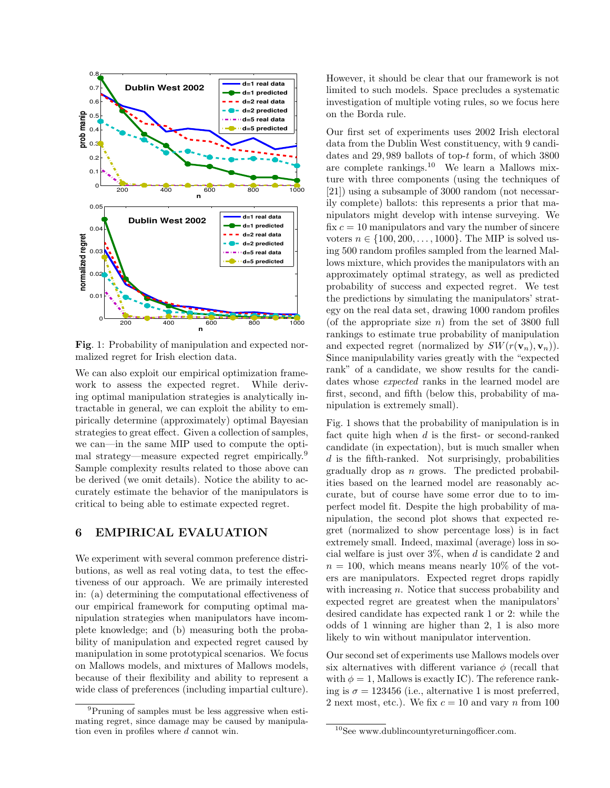

Fig. 1: Probability of manipulation and expected normalized regret for Irish election data.

We can also exploit our empirical optimization framework to assess the expected regret. While deriving optimal manipulation strategies is analytically intractable in general, we can exploit the ability to empirically determine (approximately) optimal Bayesian strategies to great effect. Given a collection of samples, we can—in the same MIP used to compute the optimal strategy—measure expected regret empirically.<sup>9</sup> Sample complexity results related to those above can be derived (we omit details). Notice the ability to accurately estimate the behavior of the manipulators is critical to being able to estimate expected regret.

## 6 EMPIRICAL EVALUATION

We experiment with several common preference distributions, as well as real voting data, to test the effectiveness of our approach. We are primaily interested in: (a) determining the computational effectiveness of our empirical framework for computing optimal manipulation strategies when manipulators have incomplete knowledge; and (b) measuring both the probability of manipulation and expected regret caused by manipulation in some prototypical scenarios. We focus on Mallows models, and mixtures of Mallows models, because of their flexibility and ability to represent a wide class of preferences (including impartial culture).

However, it should be clear that our framework is not limited to such models. Space precludes a systematic investigation of multiple voting rules, so we focus here on the Borda rule.

Our first set of experiments uses 2002 Irish electoral data from the Dublin West constituency, with 9 candidates and 29, 989 ballots of top-t form, of which 3800 are complete rankings.<sup>10</sup> We learn a Mallows mixture with three components (using the techniques of [21]) using a subsample of 3000 random (not necessarily complete) ballots: this represents a prior that manipulators might develop with intense surveying. We fix  $c = 10$  manipulators and vary the number of sincere voters  $n \in \{100, 200, \ldots, 1000\}$ . The MIP is solved using 500 random profiles sampled from the learned Mallows mixture, which provides the manipulators with an approximately optimal strategy, as well as predicted probability of success and expected regret. We test the predictions by simulating the manipulators' strategy on the real data set, drawing 1000 random profiles (of the appropriate size  $n$ ) from the set of 3800 full rankings to estimate true probability of manipulation and expected regret (normalized by  $SW(r(\mathbf{v}_n), \mathbf{v}_n))$ ). Since manipulability varies greatly with the "expected rank" of a candidate, we show results for the candidates whose expected ranks in the learned model are first, second, and fifth (below this, probability of manipulation is extremely small).

Fig. 1 shows that the probability of manipulation is in fact quite high when  $d$  is the first- or second-ranked candidate (in expectation), but is much smaller when  $d$  is the fifth-ranked. Not surprisingly, probabilities gradually drop as  $n$  grows. The predicted probabilities based on the learned model are reasonably accurate, but of course have some error due to to imperfect model fit. Despite the high probability of manipulation, the second plot shows that expected regret (normalized to show percentage loss) is in fact extremely small. Indeed, maximal (average) loss in social welfare is just over  $3\%$ , when d is candidate 2 and  $n = 100$ , which means means nearly 10% of the voters are manipulators. Expected regret drops rapidly with increasing *n*. Notice that success probability and expected regret are greatest when the manipulators' desired candidate has expected rank 1 or 2: while the odds of 1 winning are higher than 2, 1 is also more likely to win without manipulator intervention.

Our second set of experiments use Mallows models over six alternatives with different variance  $\phi$  (recall that with  $\phi = 1$ , Mallows is exactly IC). The reference ranking is  $\sigma = 123456$  (i.e., alternative 1 is most preferred, 2 next most, etc.). We fix  $c = 10$  and vary n from 100

<sup>9</sup>Pruning of samples must be less aggressive when estimating regret, since damage may be caused by manipulation even in profiles where d cannot win.

 $10$ See www.dublincountyreturningofficer.com.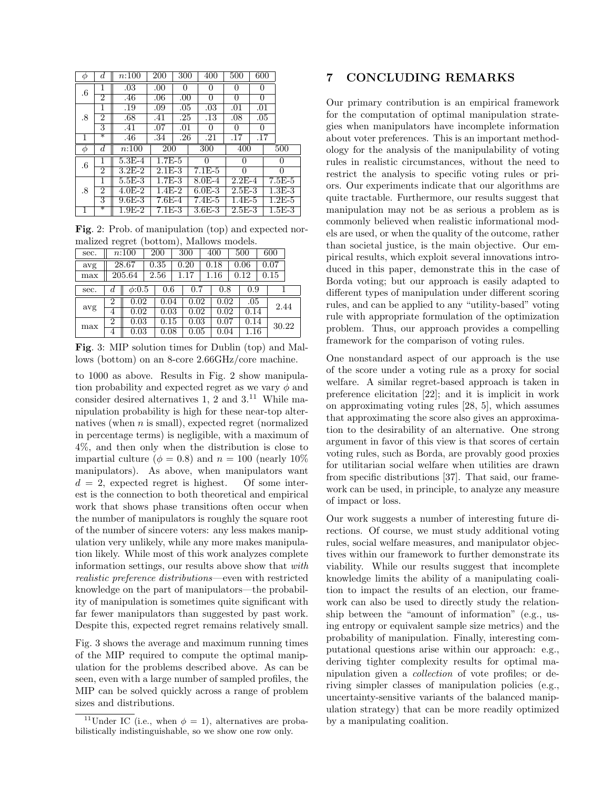|  |        | d.               | n:100      | 200        | 300 | 400              | 500        | 600      |          |
|--|--------|------------------|------------|------------|-----|------------------|------------|----------|----------|
|  | $.6\,$ | 1                | .03        | .00        | 0   | $\Omega$         | 0          | $\theta$ |          |
|  |        | $\overline{2}$   | .46        | .06        | .00 | $\Omega$         | 0          | $\Omega$ |          |
|  |        | 1                | .19        | .09        | .05 | .03              | .01        | .01      |          |
|  | .8     | 2                | .68        | .41        | .25 | $\overline{.13}$ | .08        | .05      |          |
|  |        | 3                | .41        | .07        | .01 | 0                | 0          | 0        |          |
|  |        | ₮                | .46        | .34        | .26 | .21              | .17        | .17      |          |
|  |        |                  |            |            |     |                  |            |          |          |
|  | Ф      | $\boldsymbol{d}$ | n:100      | 200        |     | 300              | 400        |          | 500      |
|  |        | 1                | $5.3F - 4$ | $1.7E-5$   |     | $\cup$           | $\theta$   |          | $\Omega$ |
|  | $.6\,$ | $\overline{2}$   | $3.2F - 2$ | $2.1E-3$   |     | $7.1E-5$         | 0          |          | $\theta$ |
|  |        | 1                | $5.5E-3$   | $1.7E-3$   |     | $8.0E - 4$       | $2.2F - 4$ |          | $7.5E-5$ |
|  | .8     | $\overline{2}$   | $4.0E-2$   | $1.4E-2$   |     | $6.0E-3$         | $2.5F - 3$ |          | $1.3E-3$ |
|  |        | 3<br>∗           | $9.6E - 3$ | $7.6E - 4$ |     | $7.4E-5$         | $1.4E-5$   |          | $1.2E-5$ |

Fig. 2: Prob. of manipulation (top) and expected normalized regret (bottom), Mallows models.

| sec. | n:100           |                       | 200  |      | 300  |      | 400  |      | 500  |      | 600  |       |  |
|------|-----------------|-----------------------|------|------|------|------|------|------|------|------|------|-------|--|
| avg  | 28.67<br>205.64 |                       | 0.35 |      | 0.20 |      | 0.18 |      | 0.06 |      | 0.07 |       |  |
| max  |                 |                       |      | 2.56 |      | 1.17 |      | 1.16 |      | 0.12 |      | 0.15  |  |
| sec. |                 | $\overline{\phi:0.5}$ |      | 0.6  |      | 0.7  |      | 0.8  |      | 0.9  |      |       |  |
| avg  | 2               | 0.02                  |      | 0.04 |      | 0.02 |      | 0.02 |      | .05  |      | 2.44  |  |
|      | 4               | 0.02                  |      | 0.03 |      | 0.02 |      | 0.02 |      | 0.14 |      |       |  |
| max  | $\overline{2}$  | 0.03                  |      | 0.15 |      | 0.03 |      | 0.07 |      | 0.14 |      | 30.22 |  |
|      | 4               | 0.03                  |      | 0.08 |      | 0.05 |      | 0.04 |      | 1.16 |      |       |  |

Fig. 3: MIP solution times for Dublin (top) and Mallows (bottom) on an 8-core 2.66GHz/core machine.

to 1000 as above. Results in Fig. 2 show manipulation probability and expected regret as we vary  $\phi$  and consider desired alternatives 1, 2 and  $3<sup>11</sup>$  While manipulation probability is high for these near-top alternatives (when n is small), expected regret (normalized in percentage terms) is negligible, with a maximum of 4%, and then only when the distribution is close to impartial culture ( $\phi = 0.8$ ) and  $n = 100$  (nearly 10%) manipulators). As above, when manipulators want  $d = 2$ , expected regret is highest. Of some interest is the connection to both theoretical and empirical work that shows phase transitions often occur when the number of manipulators is roughly the square root of the number of sincere voters: any less makes manipulation very unlikely, while any more makes manipulation likely. While most of this work analyzes complete information settings, our results above show that with realistic preference distributions—even with restricted knowledge on the part of manipulators—the probability of manipulation is sometimes quite significant with far fewer manipulators than suggested by past work. Despite this, expected regret remains relatively small.

Fig. 3 shows the average and maximum running times of the MIP required to compute the optimal manipulation for the problems described above. As can be seen, even with a large number of sampled profiles, the MIP can be solved quickly across a range of problem sizes and distributions.

## 7 CONCLUDING REMARKS

Our primary contribution is an empirical framework for the computation of optimal manipulation strategies when manipulators have incomplete information about voter preferences. This is an important methodology for the analysis of the manipulability of voting rules in realistic circumstances, without the need to restrict the analysis to specific voting rules or priors. Our experiments indicate that our algorithms are quite tractable. Furthermore, our results suggest that manipulation may not be as serious a problem as is commonly believed when realistic informational models are used, or when the quality of the outcome, rather than societal justice, is the main objective. Our empirical results, which exploit several innovations introduced in this paper, demonstrate this in the case of Borda voting; but our approach is easily adapted to different types of manipulation under different scoring rules, and can be applied to any "utility-based" voting rule with appropriate formulation of the optimization problem. Thus, our approach provides a compelling framework for the comparison of voting rules.

One nonstandard aspect of our approach is the use of the score under a voting rule as a proxy for social welfare. A similar regret-based approach is taken in preference elicitation [22]; and it is implicit in work on approximating voting rules [28, 5], which assumes that approximating the score also gives an approximation to the desirability of an alternative. One strong argument in favor of this view is that scores of certain voting rules, such as Borda, are provably good proxies for utilitarian social welfare when utilities are drawn from specific distributions [37]. That said, our framework can be used, in principle, to analyze any measure of impact or loss.

Our work suggests a number of interesting future directions. Of course, we must study additional voting rules, social welfare measures, and manipulator objectives within our framework to further demonstrate its viability. While our results suggest that incomplete knowledge limits the ability of a manipulating coalition to impact the results of an election, our framework can also be used to directly study the relationship between the "amount of information" (e.g., using entropy or equivalent sample size metrics) and the probability of manipulation. Finally, interesting computational questions arise within our approach: e.g., deriving tighter complexity results for optimal manipulation given a collection of vote profiles; or deriving simpler classes of manipulation policies (e.g., uncertainty-sensitive variants of the balanced manipulation strategy) that can be more readily optimized by a manipulating coalition.

<sup>&</sup>lt;sup>11</sup>Under IC (i.e., when  $\phi = 1$ ), alternatives are probabilistically indistinguishable, so we show one row only.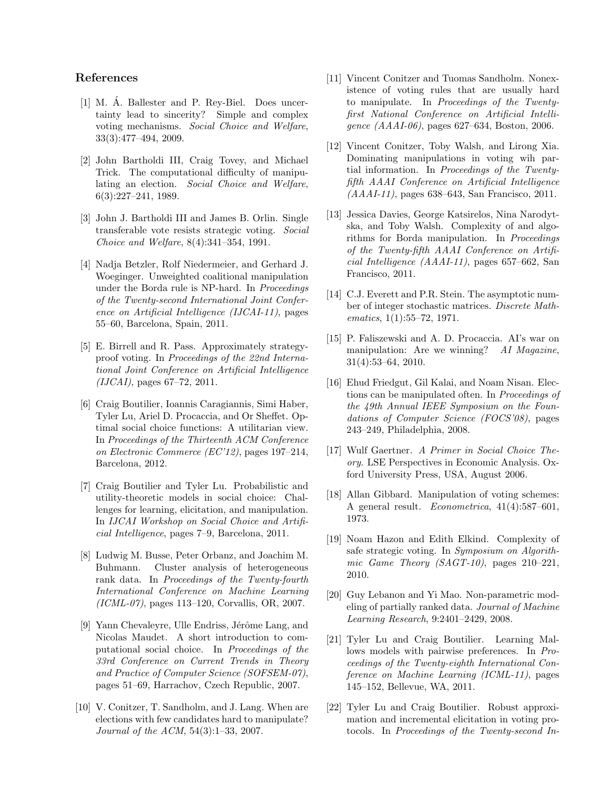## References

- [1] M. Á. Ballester and P. Rey-Biel. Does uncertainty lead to sincerity? Simple and complex voting mechanisms. Social Choice and Welfare, 33(3):477–494, 2009.
- [2] John Bartholdi III, Craig Tovey, and Michael Trick. The computational difficulty of manipulating an election. Social Choice and Welfare, 6(3):227–241, 1989.
- [3] John J. Bartholdi III and James B. Orlin. Single transferable vote resists strategic voting. Social Choice and Welfare, 8(4):341–354, 1991.
- [4] Nadja Betzler, Rolf Niedermeier, and Gerhard J. Woeginger. Unweighted coalitional manipulation under the Borda rule is NP-hard. In Proceedings of the Twenty-second International Joint Conference on Artificial Intelligence (IJCAI-11), pages 55–60, Barcelona, Spain, 2011.
- [5] E. Birrell and R. Pass. Approximately strategyproof voting. In Proceedings of the 22nd International Joint Conference on Artificial Intelligence (IJCAI), pages 67–72, 2011.
- [6] Craig Boutilier, Ioannis Caragiannis, Simi Haber, Tyler Lu, Ariel D. Procaccia, and Or Sheffet. Optimal social choice functions: A utilitarian view. In Proceedings of the Thirteenth ACM Conference on Electronic Commerce (EC'12), pages 197–214, Barcelona, 2012.
- [7] Craig Boutilier and Tyler Lu. Probabilistic and utility-theoretic models in social choice: Challenges for learning, elicitation, and manipulation. In IJCAI Workshop on Social Choice and Artificial Intelligence, pages 7–9, Barcelona, 2011.
- [8] Ludwig M. Busse, Peter Orbanz, and Joachim M. Buhmann. Cluster analysis of heterogeneous rank data. In Proceedings of the Twenty-fourth International Conference on Machine Learning (ICML-07), pages 113–120, Corvallis, OR, 2007.
- [9] Yann Chevaleyre, Ulle Endriss, Jérôme Lang, and Nicolas Maudet. A short introduction to computational social choice. In Proceedings of the 33rd Conference on Current Trends in Theory and Practice of Computer Science (SOFSEM-07), pages 51–69, Harrachov, Czech Republic, 2007.
- [10] V. Conitzer, T. Sandholm, and J. Lang. When are elections with few candidates hard to manipulate? Journal of the ACM, 54(3):1–33, 2007.
- [11] Vincent Conitzer and Tuomas Sandholm. Nonexistence of voting rules that are usually hard to manipulate. In Proceedings of the Twentyfirst National Conference on Artificial Intelligence (AAAI-06), pages 627–634, Boston, 2006.
- [12] Vincent Conitzer, Toby Walsh, and Lirong Xia. Dominating manipulations in voting wih partial information. In Proceedings of the Twentyfifth AAAI Conference on Artificial Intelligence (AAAI-11), pages 638–643, San Francisco, 2011.
- [13] Jessica Davies, George Katsirelos, Nina Narodytska, and Toby Walsh. Complexity of and algorithms for Borda manipulation. In Proceedings of the Twenty-fifth AAAI Conference on Artificial Intelligence (AAAI-11), pages 657–662, San Francisco, 2011.
- [14] C.J. Everett and P.R. Stein. The asymptotic number of integer stochastic matrices. Discrete Mathematics, 1(1):55–72, 1971.
- [15] P. Faliszewski and A. D. Procaccia. AI's war on manipulation: Are we winning? AI Magazine, 31(4):53–64, 2010.
- [16] Ehud Friedgut, Gil Kalai, and Noam Nisan. Elections can be manipulated often. In Proceedings of the 49th Annual IEEE Symposium on the Foundations of Computer Science (FOCS'08), pages 243–249, Philadelphia, 2008.
- [17] Wulf Gaertner. A Primer in Social Choice Theory. LSE Perspectives in Economic Analysis. Oxford University Press, USA, August 2006.
- [18] Allan Gibbard. Manipulation of voting schemes: A general result. Econometrica, 41(4):587–601, 1973.
- [19] Noam Hazon and Edith Elkind. Complexity of safe strategic voting. In Symposium on Algorithmic Game Theory (SAGT-10), pages 210–221, 2010.
- [20] Guy Lebanon and Yi Mao. Non-parametric modeling of partially ranked data. Journal of Machine Learning Research, 9:2401–2429, 2008.
- [21] Tyler Lu and Craig Boutilier. Learning Mallows models with pairwise preferences. In Proceedings of the Twenty-eighth International Conference on Machine Learning (ICML-11), pages 145–152, Bellevue, WA, 2011.
- [22] Tyler Lu and Craig Boutilier. Robust approximation and incremental elicitation in voting protocols. In Proceedings of the Twenty-second In-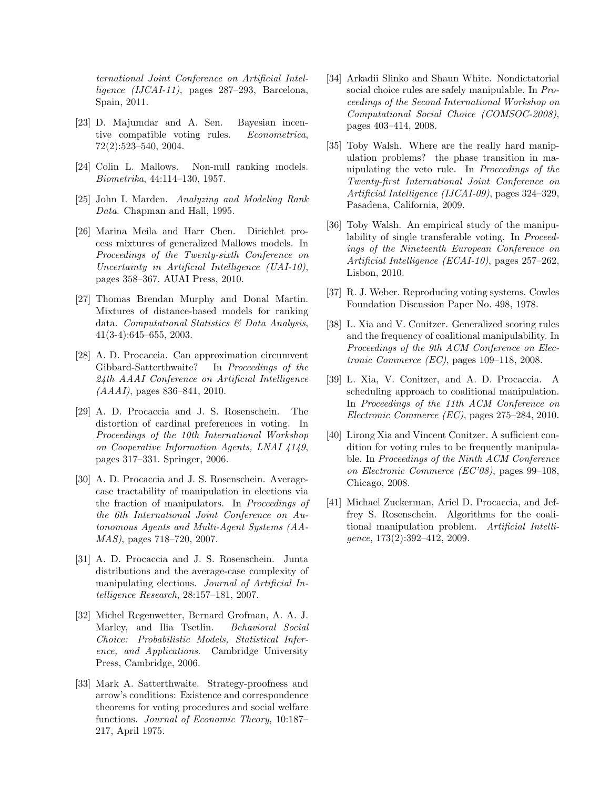ternational Joint Conference on Artificial Intelligence (IJCAI-11), pages 287–293, Barcelona, Spain, 2011.

- [23] D. Majumdar and A. Sen. Bayesian incentive compatible voting rules. Econometrica, 72(2):523–540, 2004.
- [24] Colin L. Mallows. Non-null ranking models. Biometrika, 44:114–130, 1957.
- [25] John I. Marden. Analyzing and Modeling Rank Data. Chapman and Hall, 1995.
- [26] Marina Meila and Harr Chen. Dirichlet process mixtures of generalized Mallows models. In Proceedings of the Twenty-sixth Conference on Uncertainty in Artificial Intelligence (UAI-10), pages 358–367. AUAI Press, 2010.
- [27] Thomas Brendan Murphy and Donal Martin. Mixtures of distance-based models for ranking data. Computational Statistics & Data Analysis, 41(3-4):645–655, 2003.
- [28] A. D. Procaccia. Can approximation circumvent Gibbard-Satterthwaite? In Proceedings of the 24th AAAI Conference on Artificial Intelligence  $(AAAI)$ , pages 836–841, 2010.
- [29] A. D. Procaccia and J. S. Rosenschein. The distortion of cardinal preferences in voting. In Proceedings of the 10th International Workshop on Cooperative Information Agents, LNAI 4149, pages 317–331. Springer, 2006.
- [30] A. D. Procaccia and J. S. Rosenschein. Averagecase tractability of manipulation in elections via the fraction of manipulators. In Proceedings of the 6th International Joint Conference on Autonomous Agents and Multi-Agent Systems (AA-MAS), pages 718–720, 2007.
- [31] A. D. Procaccia and J. S. Rosenschein. Junta distributions and the average-case complexity of manipulating elections. Journal of Artificial Intelligence Research, 28:157–181, 2007.
- [32] Michel Regenwetter, Bernard Grofman, A. A. J. Marley, and Ilia Tsetlin. Behavioral Social Choice: Probabilistic Models, Statistical Inference, and Applications. Cambridge University Press, Cambridge, 2006.
- [33] Mark A. Satterthwaite. Strategy-proofness and arrow's conditions: Existence and correspondence theorems for voting procedures and social welfare functions. Journal of Economic Theory, 10:187– 217, April 1975.
- [34] Arkadii Slinko and Shaun White. Nondictatorial social choice rules are safely manipulable. In Proceedings of the Second International Workshop on Computational Social Choice (COMSOC-2008), pages 403–414, 2008.
- [35] Toby Walsh. Where are the really hard manipulation problems? the phase transition in manipulating the veto rule. In Proceedings of the Twenty-first International Joint Conference on Artificial Intelligence (IJCAI-09), pages 324–329, Pasadena, California, 2009.
- [36] Toby Walsh. An empirical study of the manipulability of single transferable voting. In *Proceed*ings of the Nineteenth European Conference on Artificial Intelligence (ECAI-10), pages 257–262, Lisbon, 2010.
- [37] R. J. Weber. Reproducing voting systems. Cowles Foundation Discussion Paper No. 498, 1978.
- [38] L. Xia and V. Conitzer. Generalized scoring rules and the frequency of coalitional manipulability. In Proceedings of the 9th ACM Conference on Electronic Commerce (EC), pages 109–118, 2008.
- [39] L. Xia, V. Conitzer, and A. D. Procaccia. A scheduling approach to coalitional manipulation. In Proceedings of the 11th ACM Conference on Electronic Commerce (EC), pages 275–284, 2010.
- [40] Lirong Xia and Vincent Conitzer. A sufficient condition for voting rules to be frequently manipulable. In Proceedings of the Ninth ACM Conference on Electronic Commerce (EC'08), pages 99–108, Chicago, 2008.
- [41] Michael Zuckerman, Ariel D. Procaccia, and Jeffrey S. Rosenschein. Algorithms for the coalitional manipulation problem. Artificial Intelligence, 173(2):392–412, 2009.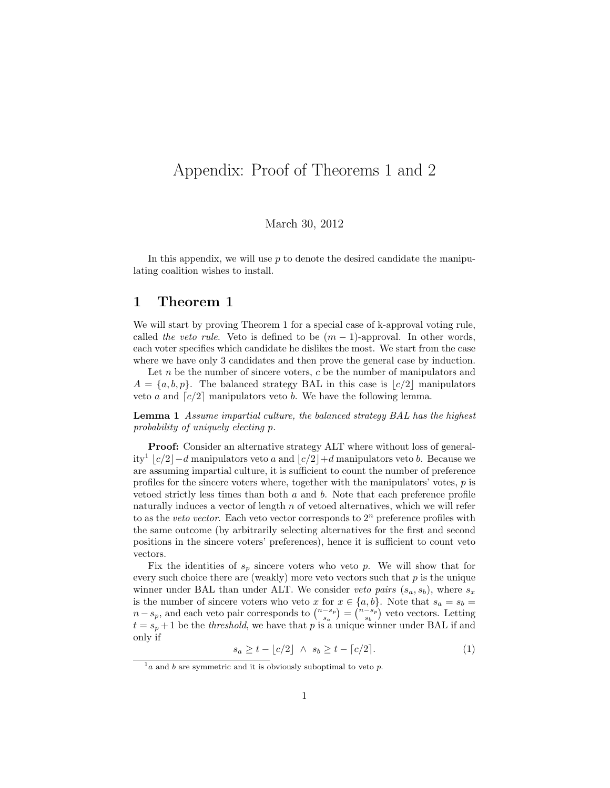# Appendix: Proof of Theorems 1 and 2

#### March 30, 2012

In this appendix, we will use  $p$  to denote the desired candidate the manipulating coalition wishes to install.

## 1 Theorem 1

We will start by proving Theorem 1 for a special case of k-approval voting rule, called the veto rule. Veto is defined to be  $(m - 1)$ -approval. In other words, each voter specifies which candidate he dislikes the most. We start from the case where we have only 3 candidates and then prove the general case by induction.

Let  $n$  be the number of sincere voters,  $c$  be the number of manipulators and  $A = \{a, b, p\}$ . The balanced strategy BAL in this case is  $\lfloor c/2 \rfloor$  manipulators veto a and  $\lceil c/2 \rceil$  manipulators veto b. We have the following lemma.

Lemma 1 Assume impartial culture, the balanced strategy BAL has the highest probability of uniquely electing p.

Proof: Consider an alternative strategy ALT where without loss of generality<sup>1</sup> |c/2|-d manipulators veto a and  $|c/2|+d$  manipulators veto b. Because we are assuming impartial culture, it is sufficient to count the number of preference profiles for the sincere voters where, together with the manipulators' votes,  $p$  is vetoed strictly less times than both  $a$  and  $b$ . Note that each preference profile naturally induces a vector of length  $n$  of vetoed alternatives, which we will refer to as the veto vector. Each veto vector corresponds to  $2<sup>n</sup>$  preference profiles with the same outcome (by arbitrarily selecting alternatives for the first and second positions in the sincere voters' preferences), hence it is sufficient to count veto vectors.

Fix the identities of  $s_p$  sincere voters who veto p. We will show that for every such choice there are (weakly) more veto vectors such that  $p$  is the unique winner under BAL than under ALT. We consider veto pairs  $(s_a, s_b)$ , where  $s_x$ is the number of sincere voters who veto x for  $x \in \{a, b\}$ . Note that  $s_a = s_b$  $n-s_p$ , and each veto pair corresponds to  $\binom{n-s_p}{s_a} = \binom{n-s_p}{s_b}$  veto vectors. Letting  $t = s_p + 1$  be the *threshold*, we have that p is a unique winner under BAL if and only if

$$
s_a \ge t - \lfloor c/2 \rfloor \ \land \ s_b \ge t - \lceil c/2 \rceil. \tag{1}
$$

 $1_a$  and b are symmetric and it is obviously suboptimal to veto p.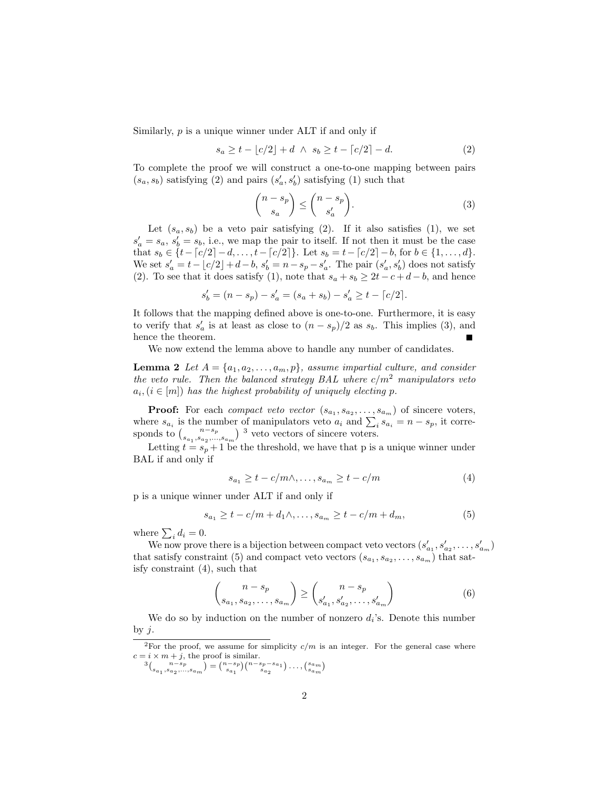Similarly,  $p$  is a unique winner under ALT if and only if

$$
s_a \ge t - \lfloor c/2 \rfloor + d \ \land \ s_b \ge t - \lceil c/2 \rceil - d. \tag{2}
$$

To complete the proof we will construct a one-to-one mapping between pairs  $(s_a, s_b)$  satisfying (2) and pairs  $(s_a^\prime, s_b^\prime)$  satisfying (1) such that

$$
\binom{n-s_p}{s_a} \le \binom{n-s_p}{s'_a}.\tag{3}
$$

Let  $(s_a, s_b)$  be a veto pair satisfying (2). If it also satisfies (1), we set  $s'_a = s_a, s'_b = s_b$ , i.e., we map the pair to itself. If not then it must be the case that  $s_b \in \{t - \lceil c/2 \rceil - d, \ldots, t - \lceil c/2 \rceil\}$ . Let  $s_b = t - \lceil c/2 \rceil - b$ , for  $b \in \{1, \ldots, d\}$ . We set  $s'_a = t - \lfloor c/2 \rfloor + d - b$ ,  $s'_b = n - s_p - s'_a$ . The pair  $(s'_a, s'_b)$  does not satisfy (2). To see that it does satisfy (1), note that  $s_a + s_b \geq 2t - c + d - b$ , and hence

$$
s'_{b} = (n - s_{p}) - s'_{a} = (s_{a} + s_{b}) - s'_{a} \ge t - \lceil c/2 \rceil.
$$

It follows that the mapping defined above is one-to-one. Furthermore, it is easy to verify that  $s_a'$  is at least as close to  $(n - s_p)/2$  as  $s_b$ . This implies (3), and hence the theorem.  $\blacksquare$ 

We now extend the lemma above to handle any number of candidates.

**Lemma 2** Let  $A = \{a_1, a_2, \ldots, a_m, p\}$ , assume impartial culture, and consider the veto rule. Then the balanced strategy BAL where  $c/m^2$  manipulators veto  $a_i, (i \in [m])$  has the highest probability of uniquely electing p.

**Proof:** For each *compact veto vector*  $(s_{a_1}, s_{a_2}, \ldots, s_{a_m})$  of sincere voters, where  $s_{a_i}$  is the number of manipulators veto  $a_i$  and  $\sum_i s_{a_i} = n - s_p$ , it corresponds to  $\binom{n-s_p}{s_{a_1}, s_{a_2}, \dots, s_{a_m}}$ <sup>3</sup> veto vectors of sincere voters.

Letting  $t = s_p + 1$  be the threshold, we have that p is a unique winner under BAL if and only if

$$
s_{a_1} \ge t - c/m\wedge, \dots, s_{a_m} \ge t - c/m \tag{4}
$$

p is a unique winner under ALT if and only if

$$
s_{a_1} \ge t - c/m + d_1 \wedge, \dots, s_{a_m} \ge t - c/m + d_m, \tag{5}
$$

where  $\sum_i d_i = 0$ .

We now prove there is a bijection between compact veto vectors  $(s'_{a_1}, s'_{a_2}, \ldots, s'_{a_m})$ that satisfy constraint (5) and compact veto vectors  $(s_{a_1}, s_{a_2}, \ldots, s_{a_m})$  that satisfy constraint (4), such that

$$
\binom{n - s_p}{s_{a_1}, s_{a_2}, \dots, s_{a_m}} \ge \binom{n - s_p}{s'_{a_1}, s'_{a_2}, \dots, s'_{a_m}}
$$
\n<sup>(6)</sup>

We do so by induction on the number of nonzero  $d_i$ 's. Denote this number by  $j$ .

<sup>&</sup>lt;sup>2</sup>For the proof, we assume for simplicity  $c/m$  is an integer. For the general case where

 $c = i \times m + j$ , the proof is similar.<br>  ${}^{3} \binom{n-s_p}{s_{a_1}, s_{a_2}, \dots, s_{a_m}} = \binom{n-s_p}{s_{a_1}} \binom{n-s_p-s_{a_1}}{s_{a_2}} \dots, \binom{s_{a_m}}{s_{a_m}}$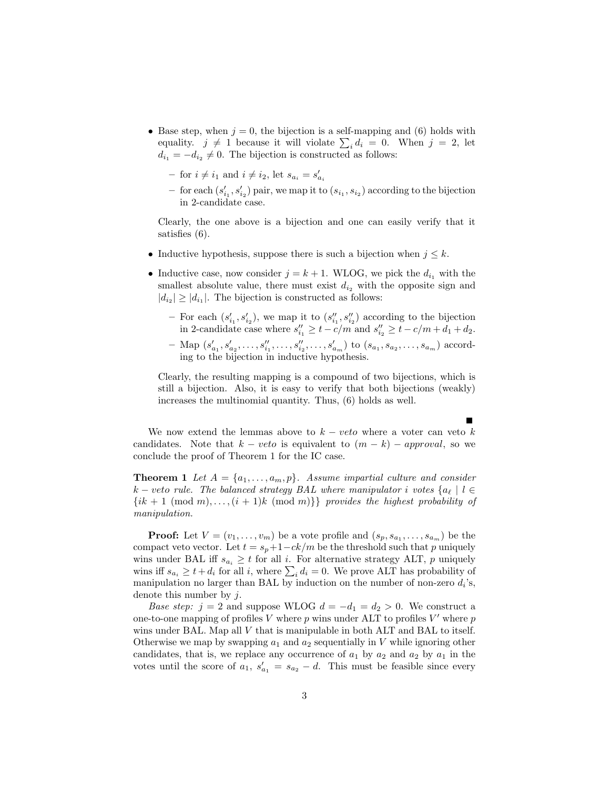- Base step, when  $j = 0$ , the bijection is a self-mapping and (6) holds with equality.  $j \neq 1$  because it will violate  $\sum_i d_i = 0$ . When  $j = 2$ , let  $d_{i_1} = -d_{i_2} \neq 0$ . The bijection is constructed as follows:
	- for  $i \neq i_1$  and  $i \neq i_2$ , let  $s_{a_i} = s'_{a_i}$
	- for each  $(s'_{i_1}, s'_{i_2})$  pair, we map it to  $(s_{i_1}, s_{i_2})$  according to the bijection in 2-candidate case.

Clearly, the one above is a bijection and one can easily verify that it satisfies (6).

- Inductive hypothesis, suppose there is such a bijection when  $j \leq k$ .
- Inductive case, now consider  $j = k + 1$ . WLOG, we pick the  $d_{i_1}$  with the smallest absolute value, there must exist  $d_{i_2}$  with the opposite sign and  $|d_{i_2}| \geq |d_{i_1}|$ . The bijection is constructed as follows:
	- For each  $(s'_{i_1}, s'_{i_2})$ , we map it to  $(s''_{i_1}, s''_{i_2})$  according to the bijection in 2-candidate case where  $s''_{i_1} \geq t - c/m$  and  $s''_{i_2} \geq t - c/m + d_1 + d_2$ .
	- Map  $(s'_{a_1}, s'_{a_2}, \ldots, s''_{i_1}, \ldots, s'_{i_2}, \ldots, s'_{a_m})$  to  $(s_{a_1}, s_{a_2}, \ldots, s_{a_m})$  according to the bijection in inductive hypothesis.

Clearly, the resulting mapping is a compound of two bijections, which is still a bijection. Also, it is easy to verify that both bijections (weakly) increases the multinomial quantity. Thus, (6) holds as well.

We now extend the lemmas above to  $k - veto$  where a voter can veto k candidates. Note that  $k - veto$  is equivalent to  $(m - k) - approval$ , so we conclude the proof of Theorem 1 for the IC case.

**Theorem 1** Let  $A = \{a_1, \ldots, a_m, p\}$ . Assume impartial culture and consider k – veto rule. The balanced strategy BAL where manipulator i votes  $\{a_\ell \mid l \in$  $\{ik + 1 \pmod{m}, \ldots, (i + 1)k \pmod{m}\}$  provides the highest probability of manipulation.

**Proof:** Let  $V = (v_1, \ldots, v_m)$  be a vote profile and  $(s_p, s_{a_1}, \ldots, s_{a_m})$  be the compact veto vector. Let  $t = s_p + 1 - ck/m$  be the threshold such that p uniquely wins under BAL iff  $s_{a_i} \geq t$  for all i. For alternative strategy ALT, p uniquely wins iff  $s_{a_i} \geq t + d_i$  for all i, where  $\sum_i d_i = 0$ . We prove ALT has probability of manipulation no larger than BAL by induction on the number of non-zero  $d_i$ 's, denote this number by j.

Base step:  $j = 2$  and suppose WLOG  $d = -d_1 = d_2 > 0$ . We construct a one-to-one mapping of profiles  $V$  where  $p$  wins under ALT to profiles  $V'$  where  $p$ wins under BAL. Map all V that is manipulable in both ALT and BAL to itself. Otherwise we map by swapping  $a_1$  and  $a_2$  sequentially in V while ignoring other candidates, that is, we replace any occurrence of  $a_1$  by  $a_2$  and  $a_2$  by  $a_1$  in the votes until the score of  $a_1, s'_{a_1} = s_{a_2} - d$ . This must be feasible since every

#### $\blacksquare$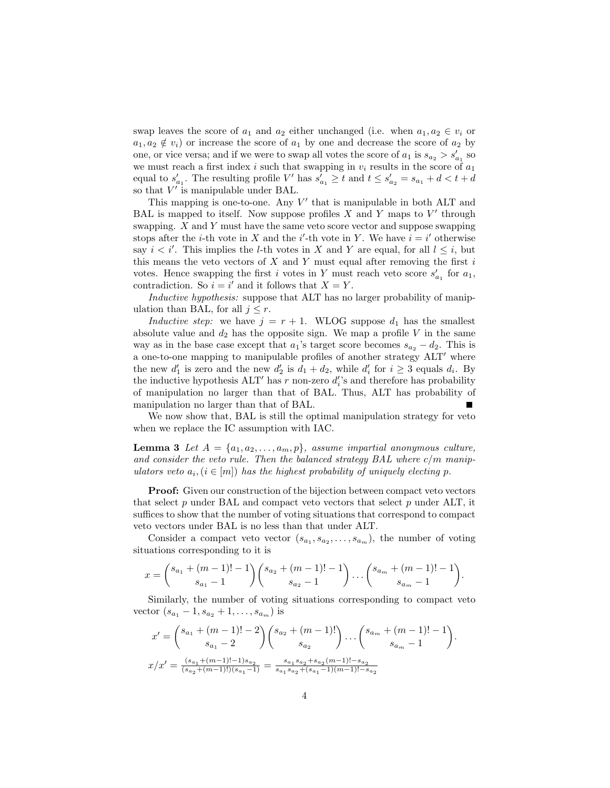swap leaves the score of  $a_1$  and  $a_2$  either unchanged (i.e. when  $a_1, a_2 \in v_i$  or  $a_1, a_2 \notin v_i$  or increase the score of  $a_1$  by one and decrease the score of  $a_2$  by one, or vice versa; and if we were to swap all votes the score of  $a_1$  is  $s_{a_2} > s'_{a_1}$  so we must reach a first index  $i$  such that swapping in  $v_i$  results in the score of  $a_1$ equal to  $s'_{a_1}$ . The resulting profile V' has  $s'_{a_1} \ge t$  and  $t \le s'_{a_2} = s_{a_1} + d < t + d$ so that  $V'$  is manipulable under BAL.

This mapping is one-to-one. Any  $V'$  that is manipulable in both ALT and BAL is mapped to itself. Now suppose profiles  $X$  and  $Y$  maps to  $V'$  through swapping. X and Y must have the same veto score vector and suppose swapping stops after the *i*-th vote in X and the *i*'-th vote in Y. We have  $i = i'$  otherwise say  $i < i'$ . This implies the *l*-th votes in X and Y are equal, for all  $l \leq i$ , but this means the veto vectors of  $X$  and  $Y$  must equal after removing the first  $i$ votes. Hence swapping the first *i* votes in Y must reach veto score  $s'_{a_1}$  for  $a_1$ , contradiction. So  $i = i'$  and it follows that  $X = Y$ .

Inductive hypothesis: suppose that ALT has no larger probability of manipulation than BAL, for all  $j \leq r$ .

Inductive step: we have  $j = r + 1$ . WLOG suppose  $d_1$  has the smallest absolute value and  $d_2$  has the opposite sign. We map a profile V in the same way as in the base case except that  $a_1$ 's target score becomes  $s_{a_2} - d_2$ . This is a one-to-one mapping to manipulable profiles of another strategy  $ALT'$  where the new  $d'_1$  is zero and the new  $d'_2$  is  $d_1 + d_2$ , while  $d'_i$  for  $i \geq 3$  equals  $d_i$ . By the inductive hypothesis ALT' has r non-zero  $d_i$ 's and therefore has probability of manipulation no larger than that of BAL. Thus, ALT has probability of manipulation no larger than that of BAL.

We now show that, BAL is still the optimal manipulation strategy for veto when we replace the IC assumption with IAC.

**Lemma 3** Let  $A = \{a_1, a_2, \ldots, a_m, p\}$ , assume impartial anonymous culture, and consider the veto rule. Then the balanced strategy  $BAL$  where  $c/m$  manipulators veto  $a_i$ ,  $(i \in [m])$  has the highest probability of uniquely electing p.

Proof: Given our construction of the bijection between compact veto vectors that select  $p$  under BAL and compact veto vectors that select  $p$  under ALT, it suffices to show that the number of voting situations that correspond to compact veto vectors under BAL is no less than that under ALT.

Consider a compact veto vector  $(s_{a_1}, s_{a_2}, \ldots, s_{a_m})$ , the number of voting situations corresponding to it is

$$
x = {s_{a_1} + (m-1)! - 1 \choose s_{a_1} - 1} {s_{a_2} + (m-1)! - 1 \choose s_{a_2} - 1} \cdots {s_{a_m} + (m-1)! - 1 \choose s_{a_m} - 1}.
$$

Similarly, the number of voting situations corresponding to compact veto vector  $(s_{a_1} - 1, s_{a_2} + 1, \ldots, s_{a_m})$  is

$$
x' = {s_{a_1} + (m-1)! - 2 \choose s_{a_1} - 2} {s_{a_2} + (m-1)! \choose s_{a_2}} \dots {s_{a_m} + (m-1)! - 1 \choose s_{a_m} - 1}.
$$
  

$$
x/x' = \frac{(s_{a_1} + (m-1)! - 1)s_{a_2}}{(s_{a_2} + (m-1)!)(s_{a_1} - 1)} = \frac{s_{a_1} s_{a_2} + s_{a_2} (m-1)! - s_{a_2}}{s_{a_1} s_{a_2} + (s_{a_1} - 1)(m-1)! - s_{a_2}}
$$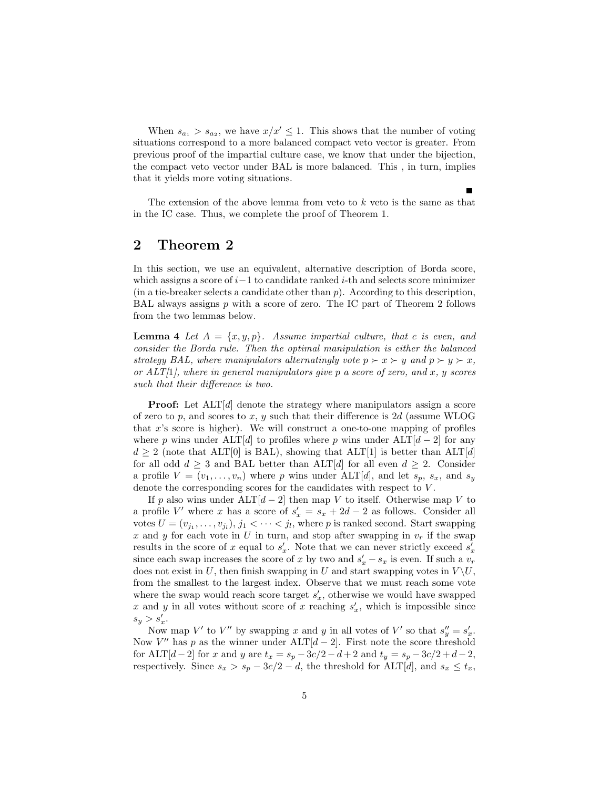When  $s_{a_1} > s_{a_2}$ , we have  $x/x' \leq 1$ . This shows that the number of voting situations correspond to a more balanced compact veto vector is greater. From previous proof of the impartial culture case, we know that under the bijection, the compact veto vector under BAL is more balanced. This , in turn, implies that it yields more voting situations.

The extension of the above lemma from veto to  $k$  veto is the same as that in the IC case. Thus, we complete the proof of Theorem 1.

## 2 Theorem 2

In this section, we use an equivalent, alternative description of Borda score, which assigns a score of  $i-1$  to candidate ranked i-th and selects score minimizer  $(in a tie-breaking selects a candidate other than p). According to this description,$ BAL always assigns  $p$  with a score of zero. The IC part of Theorem 2 follows from the two lemmas below.

**Lemma 4** Let  $A = \{x, y, p\}$ . Assume impartial culture, that c is even, and consider the Borda rule. Then the optimal manipulation is either the balanced strategy BAL, where manipulators alternatingly vote  $p \succ x \succ y$  and  $p \succ y \succ x$ , or  $ALT[1]$ , where in general manipulators give p a score of zero, and x, y scores such that their difference is two.

**Proof:** Let ALT[d] denote the strategy where manipulators assign a score of zero to p, and scores to x, y such that their difference is  $2d$  (assume WLOG that x's score is higher). We will construct a one-to-one mapping of profiles where p wins under ALT[d] to profiles where p wins under ALT[d – 2] for any  $d \geq 2$  (note that ALT[0] is BAL), showing that ALT[1] is better than ALT[d] for all odd  $d \geq 3$  and BAL better than ALT[d] for all even  $d \geq 2$ . Consider a profile  $V = (v_1, \ldots, v_n)$  where p wins under ALT[d], and let  $s_p$ ,  $s_x$ , and  $s_y$ denote the corresponding scores for the candidates with respect to V .

If p also wins under  $\text{ALT}[d-2]$  then map V to itself. Otherwise map V to a profile V' where x has a score of  $s'_x = s_x + 2d - 2$  as follows. Consider all votes  $U = (v_{j_1}, \ldots, v_{j_l}), j_1 < \cdots < j_l$ , where p is ranked second. Start swapping x and y for each vote in U in turn, and stop after swapping in  $v_r$  if the swap results in the score of x equal to  $s'_x$ . Note that we can never strictly exceed  $s'_x$ since each swap increases the score of x by two and  $s'_x - s_x$  is even. If such a  $v_r$ does not exist in U, then finish swapping in U and start swapping votes in  $V \backslash U$ , from the smallest to the largest index. Observe that we must reach some vote where the swap would reach score target  $s'_x$ , otherwise we would have swapped x and y in all votes without score of x reaching  $s'_x$ , which is impossible since  $s_y > s'_x.$ 

Now map V' to V" by swapping x and y in all votes of V' so that  $s''_y = s'_x$ . Now  $V''$  has p as the winner under  $\text{ALT}[d-2]$ . First note the score threshold for ALT[d – 2] for x and y are  $t_x = s_p - 3c/2 - d + 2$  and  $t_y = s_p - 3c/2 + d - 2$ , respectively. Since  $s_x > s_p - 3c/2 - d$ , the threshold for ALT[d], and  $s_x \leq t_x$ ,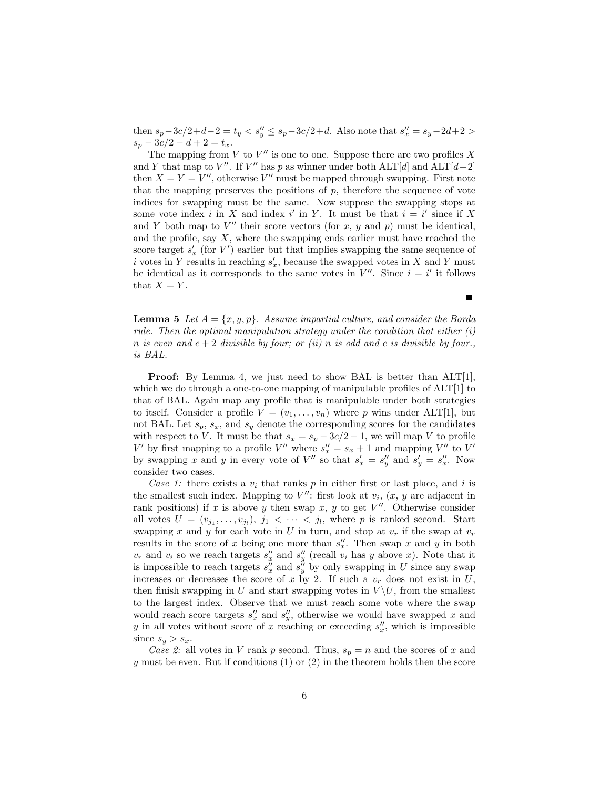then  $s_p - 3c/2 + d - 2 = t_y < s''_y \le s_p - 3c/2 + d$ . Also note that  $s''_x = s_y - 2d + 2 >$  $s_p - 3c/2 - d + 2 = t_x.$ 

The mapping from  $V$  to  $V''$  is one to one. Suppose there are two profiles  $X$ and Y that map to V''. If V'' has p as winner under both  $\text{ALT}[d]$  and  $\text{ALT}[d-2]$ then  $X = Y = V''$ , otherwise V'' must be mapped through swapping. First note that the mapping preserves the positions of  $p$ , therefore the sequence of vote indices for swapping must be the same. Now suppose the swapping stops at some vote index i in X and index i' in Y. It must be that  $i = i'$  since if X and Y both map to  $V''$  their score vectors (for x, y and p) must be identical, and the profile, say  $X$ , where the swapping ends earlier must have reached the score target  $s'_x$  (for  $V'$ ) earlier but that implies swapping the same sequence of i votes in Y results in reaching  $s'_x$ , because the swapped votes in X and Y must be identical as it corresponds to the same votes in  $V''$ . Since  $i = i'$  it follows that  $X = Y$ .

**Lemma 5** Let  $A = \{x, y, p\}$ . Assume impartial culture, and consider the Borda rule. Then the optimal manipulation strategy under the condition that either  $(i)$ n is even and  $c + 2$  divisible by four; or (ii) n is odd and c is divisible by four., is BAL.

**Proof:** By Lemma 4, we just need to show BAL is better than ALT[1], which we do through a one-to-one mapping of manipulable profiles of ALT[1] to that of BAL. Again map any profile that is manipulable under both strategies to itself. Consider a profile  $V = (v_1, \ldots, v_n)$  where p wins under ALT[1], but not BAL. Let  $s_p$ ,  $s_x$ , and  $s_y$  denote the corresponding scores for the candidates with respect to V. It must be that  $s_x = s_p - 3c/2 - 1$ , we will map V to profile  $V'$  by first mapping to a profile  $V''$  where  $s''_x = s_x + 1$  and mapping  $V''$  to  $V'$ by swapping x and y in every vote of V'' so that  $s'_x = s''_y$  and  $s'_y = s''_x$ . Now consider two cases.

Case 1: there exists a  $v_i$  that ranks p in either first or last place, and i is the smallest such index. Mapping to  $V''$ : first look at  $v_i$ ,  $(x, y)$  are adjacent in rank positions) if x is above y then swap x, y to get  $V''$ . Otherwise consider all votes  $U = (v_{j_1}, \ldots, v_{j_l}), j_1 < \cdots < j_l$ , where p is ranked second. Start swapping x and y for each vote in U in turn, and stop at  $v_r$  if the swap at  $v_r$ results in the score of x being one more than  $s''_x$ . Then swap x and y in both  $v_r$  and  $v_i$  so we reach targets  $s''_x$  and  $s''_y$  (recall  $v_i$  has y above x). Note that it is impossible to reach targets  $s''_x$  and  $s''_y$  by only swapping in U since any swap increases or decreases the score of x by 2. If such a  $v_r$  does not exist in U, then finish swapping in U and start swapping votes in  $V \setminus U$ , from the smallest to the largest index. Observe that we must reach some vote where the swap would reach score targets  $s''_x$  and  $s''_y$ , otherwise we would have swapped x and y in all votes without score of x reaching or exceeding  $s''_x$ , which is impossible since  $s_y > s_x$ .

Case 2: all votes in V rank p second. Thus,  $s_p = n$  and the scores of x and y must be even. But if conditions  $(1)$  or  $(2)$  in the theorem holds then the score

 $\blacksquare$